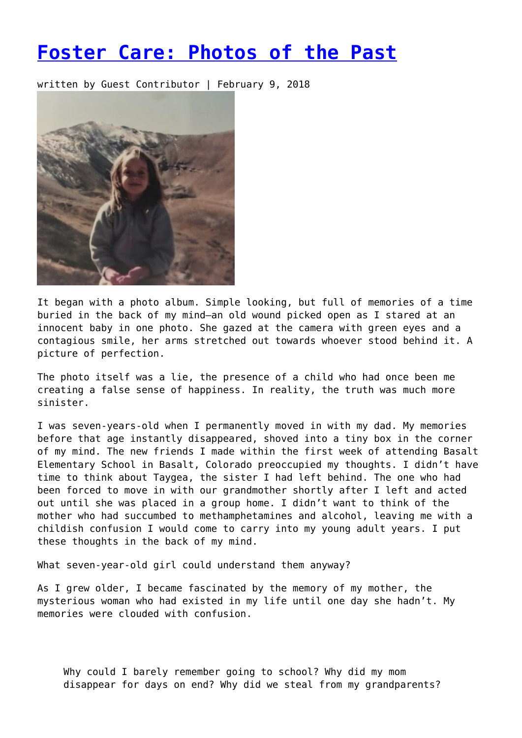## **[Foster Care: Photos of the Past](https://entropymag.org/photos-of-the-past-by-kaia-brose/)**

written by Guest Contributor | February 9, 2018



It began with a photo album. Simple looking, but full of memories of a time buried in the back of my mind—an old wound picked open as I stared at an innocent baby in one photo. She gazed at the camera with green eyes and a contagious smile, her arms stretched out towards whoever stood behind it. A picture of perfection.

The photo itself was a lie, the presence of a child who had once been me creating a false sense of happiness. In reality, the truth was much more sinister.

I was seven-years-old when I permanently moved in with my dad. My memories before that age instantly disappeared, shoved into a tiny box in the corner of my mind. The new friends I made within the first week of attending Basalt Elementary School in Basalt, Colorado preoccupied my thoughts. I didn't have time to think about Taygea, the sister I had left behind. The one who had been forced to move in with our grandmother shortly after I left and acted out until she was placed in a group home. I didn't want to think of the mother who had succumbed to methamphetamines and alcohol, leaving me with a childish confusion I would come to carry into my young adult years. I put these thoughts in the back of my mind.

What seven-year-old girl could understand them anyway?

As I grew older, I became fascinated by the memory of my mother, the mysterious woman who had existed in my life until one day she hadn't. My memories were clouded with confusion.

Why could I barely remember going to school? Why did my mom disappear for days on end? Why did we steal from my grandparents?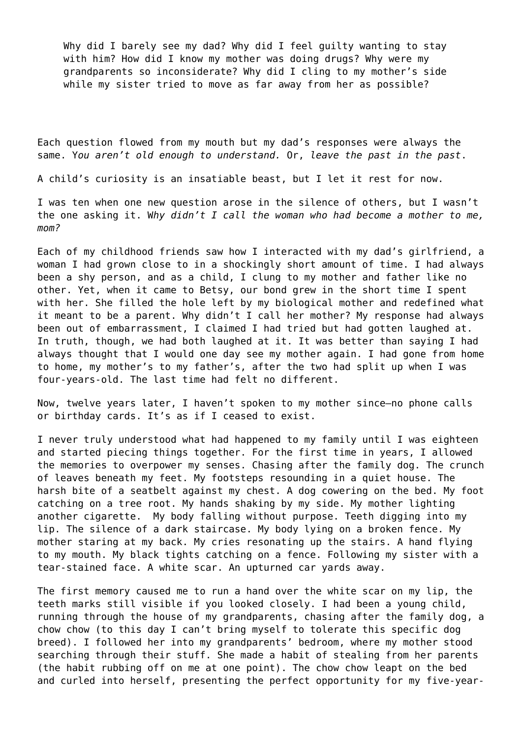Why did I barely see my dad? Why did I feel quilty wanting to stay with him? How did I know my mother was doing drugs? Why were my grandparents so inconsiderate? Why did I cling to my mother's side while my sister tried to move as far away from her as possible?

Each question flowed from my mouth but my dad's responses were always the same. Y*ou aren't old enough to understand.* Or, *leave the past in the past*.

A child's curiosity is an insatiable beast, but I let it rest for now.

I was ten when one new question arose in the silence of others, but I wasn't the one asking it. W*hy didn't I call the woman who had become a mother to me, mom?*

Each of my childhood friends saw how I interacted with my dad's girlfriend, a woman I had grown close to in a shockingly short amount of time. I had always been a shy person, and as a child, I clung to my mother and father like no other. Yet, when it came to Betsy, our bond grew in the short time I spent with her. She filled the hole left by my biological mother and redefined what it meant to be a parent. Why didn't I call her mother? My response had always been out of embarrassment, I claimed I had tried but had gotten laughed at. In truth, though, we had both laughed at it. It was better than saying I had always thought that I would one day see my mother again. I had gone from home to home, my mother's to my father's, after the two had split up when I was four-years-old. The last time had felt no different.

Now, twelve years later, I haven't spoken to my mother since—no phone calls or birthday cards. It's as if I ceased to exist.

I never truly understood what had happened to my family until I was eighteen and started piecing things together. For the first time in years, I allowed the memories to overpower my senses. Chasing after the family dog. The crunch of leaves beneath my feet. My footsteps resounding in a quiet house. The harsh bite of a seatbelt against my chest. A dog cowering on the bed. My foot catching on a tree root. My hands shaking by my side. My mother lighting another cigarette. My body falling without purpose. Teeth digging into my lip. The silence of a dark staircase. My body lying on a broken fence. My mother staring at my back. My cries resonating up the stairs. A hand flying to my mouth. My black tights catching on a fence. Following my sister with a tear-stained face. A white scar. An upturned car yards away.

The first memory caused me to run a hand over the white scar on my lip, the teeth marks still visible if you looked closely. I had been a young child, running through the house of my grandparents, chasing after the family dog, a chow chow (to this day I can't bring myself to tolerate this specific dog breed). I followed her into my grandparents' bedroom, where my mother stood searching through their stuff. She made a habit of stealing from her parents (the habit rubbing off on me at one point). The chow chow leapt on the bed and curled into herself, presenting the perfect opportunity for my five-year-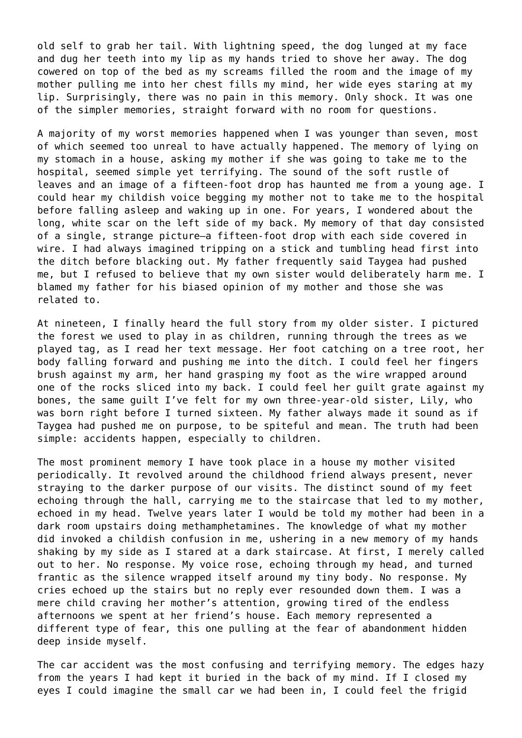old self to grab her tail. With lightning speed, the dog lunged at my face and dug her teeth into my lip as my hands tried to shove her away. The dog cowered on top of the bed as my screams filled the room and the image of my mother pulling me into her chest fills my mind, her wide eyes staring at my lip. Surprisingly, there was no pain in this memory. Only shock. It was one of the simpler memories, straight forward with no room for questions.

A majority of my worst memories happened when I was younger than seven, most of which seemed too unreal to have actually happened. The memory of lying on my stomach in a house, asking my mother if she was going to take me to the hospital, seemed simple yet terrifying. The sound of the soft rustle of leaves and an image of a fifteen-foot drop has haunted me from a young age. I could hear my childish voice begging my mother not to take me to the hospital before falling asleep and waking up in one. For years, I wondered about the long, white scar on the left side of my back. My memory of that day consisted of a single, strange picture—a fifteen-foot drop with each side covered in wire. I had always imagined tripping on a stick and tumbling head first into the ditch before blacking out. My father frequently said Taygea had pushed me, but I refused to believe that my own sister would deliberately harm me. I blamed my father for his biased opinion of my mother and those she was related to.

At nineteen, I finally heard the full story from my older sister. I pictured the forest we used to play in as children, running through the trees as we played tag, as I read her text message. Her foot catching on a tree root, her body falling forward and pushing me into the ditch. I could feel her fingers brush against my arm, her hand grasping my foot as the wire wrapped around one of the rocks sliced into my back. I could feel her guilt grate against my bones, the same guilt I've felt for my own three-year-old sister, Lily, who was born right before I turned sixteen. My father always made it sound as if Taygea had pushed me on purpose, to be spiteful and mean. The truth had been simple: accidents happen, especially to children.

The most prominent memory I have took place in a house my mother visited periodically. It revolved around the childhood friend always present, never straying to the darker purpose of our visits. The distinct sound of my feet echoing through the hall, carrying me to the staircase that led to my mother, echoed in my head. Twelve years later I would be told my mother had been in a dark room upstairs doing methamphetamines. The knowledge of what my mother did invoked a childish confusion in me, ushering in a new memory of my hands shaking by my side as I stared at a dark staircase. At first, I merely called out to her. No response. My voice rose, echoing through my head, and turned frantic as the silence wrapped itself around my tiny body. No response. My cries echoed up the stairs but no reply ever resounded down them. I was a mere child craving her mother's attention, growing tired of the endless afternoons we spent at her friend's house. Each memory represented a different type of fear, this one pulling at the fear of abandonment hidden deep inside myself.

The car accident was the most confusing and terrifying memory. The edges hazy from the years I had kept it buried in the back of my mind. If I closed my eyes I could imagine the small car we had been in, I could feel the frigid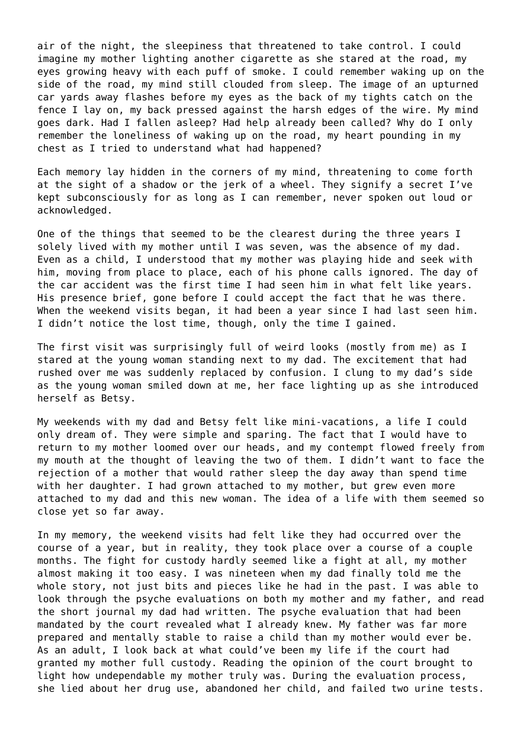air of the night, the sleepiness that threatened to take control. I could imagine my mother lighting another cigarette as she stared at the road, my eyes growing heavy with each puff of smoke. I could remember waking up on the side of the road, my mind still clouded from sleep. The image of an upturned car yards away flashes before my eyes as the back of my tights catch on the fence I lay on, my back pressed against the harsh edges of the wire. My mind goes dark. Had I fallen asleep? Had help already been called? Why do I only remember the loneliness of waking up on the road, my heart pounding in my chest as I tried to understand what had happened?

Each memory lay hidden in the corners of my mind, threatening to come forth at the sight of a shadow or the jerk of a wheel. They signify a secret I've kept subconsciously for as long as I can remember, never spoken out loud or acknowledged.

One of the things that seemed to be the clearest during the three years I solely lived with my mother until I was seven, was the absence of my dad. Even as a child, I understood that my mother was playing hide and seek with him, moving from place to place, each of his phone calls ignored. The day of the car accident was the first time I had seen him in what felt like years. His presence brief, gone before I could accept the fact that he was there. When the weekend visits began, it had been a year since I had last seen him. I didn't notice the lost time, though, only the time I gained.

The first visit was surprisingly full of weird looks (mostly from me) as I stared at the young woman standing next to my dad. The excitement that had rushed over me was suddenly replaced by confusion. I clung to my dad's side as the young woman smiled down at me, her face lighting up as she introduced herself as Betsy.

My weekends with my dad and Betsy felt like mini-vacations, a life I could only dream of. They were simple and sparing. The fact that I would have to return to my mother loomed over our heads, and my contempt flowed freely from my mouth at the thought of leaving the two of them. I didn't want to face the rejection of a mother that would rather sleep the day away than spend time with her daughter. I had grown attached to my mother, but grew even more attached to my dad and this new woman. The idea of a life with them seemed so close yet so far away.

In my memory, the weekend visits had felt like they had occurred over the course of a year, but in reality, they took place over a course of a couple months. The fight for custody hardly seemed like a fight at all, my mother almost making it too easy. I was nineteen when my dad finally told me the whole story, not just bits and pieces like he had in the past. I was able to look through the psyche evaluations on both my mother and my father, and read the short journal my dad had written. The psyche evaluation that had been mandated by the court revealed what I already knew. My father was far more prepared and mentally stable to raise a child than my mother would ever be. As an adult, I look back at what could've been my life if the court had granted my mother full custody. Reading the opinion of the court brought to light how undependable my mother truly was. During the evaluation process, she lied about her drug use, abandoned her child, and failed two urine tests.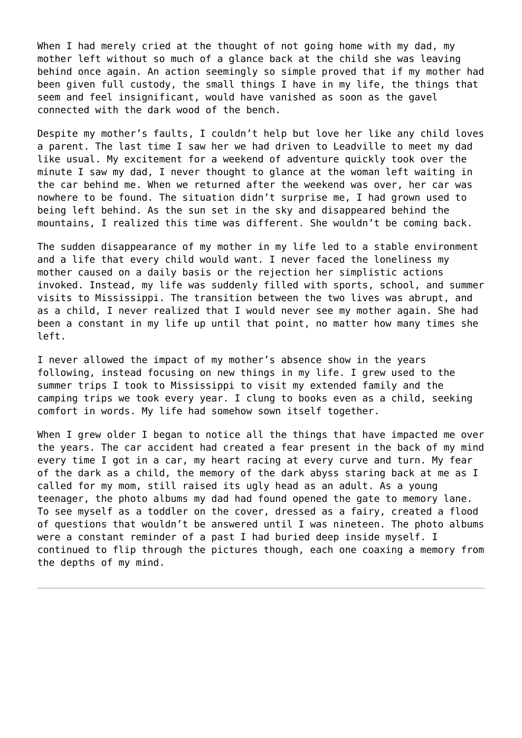When I had merely cried at the thought of not going home with my dad, my mother left without so much of a glance back at the child she was leaving behind once again. An action seemingly so simple proved that if my mother had been given full custody, the small things I have in my life, the things that seem and feel insignificant, would have vanished as soon as the gavel connected with the dark wood of the bench.

Despite my mother's faults, I couldn't help but love her like any child loves a parent. The last time I saw her we had driven to Leadville to meet my dad like usual. My excitement for a weekend of adventure quickly took over the minute I saw my dad, I never thought to glance at the woman left waiting in the car behind me. When we returned after the weekend was over, her car was nowhere to be found. The situation didn't surprise me, I had grown used to being left behind. As the sun set in the sky and disappeared behind the mountains, I realized this time was different. She wouldn't be coming back.

The sudden disappearance of my mother in my life led to a stable environment and a life that every child would want. I never faced the loneliness my mother caused on a daily basis or the rejection her simplistic actions invoked. Instead, my life was suddenly filled with sports, school, and summer visits to Mississippi. The transition between the two lives was abrupt, and as a child, I never realized that I would never see my mother again. She had been a constant in my life up until that point, no matter how many times she left.

I never allowed the impact of my mother's absence show in the years following, instead focusing on new things in my life. I grew used to the summer trips I took to Mississippi to visit my extended family and the camping trips we took every year. I clung to books even as a child, seeking comfort in words. My life had somehow sown itself together.

When I grew older I began to notice all the things that have impacted me over the years. The car accident had created a fear present in the back of my mind every time I got in a car, my heart racing at every curve and turn. My fear of the dark as a child, the memory of the dark abyss staring back at me as I called for my mom, still raised its ugly head as an adult. As a young teenager, the photo albums my dad had found opened the gate to memory lane. To see myself as a toddler on the cover, dressed as a fairy, created a flood of questions that wouldn't be answered until I was nineteen. The photo albums were a constant reminder of a past I had buried deep inside myself. I continued to flip through the pictures though, each one coaxing a memory from the depths of my mind.